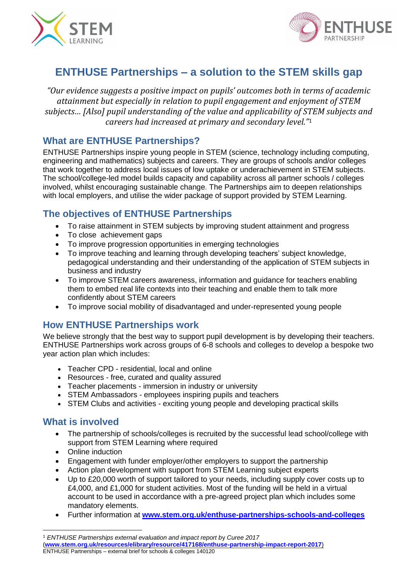



# **ENTHUSE Partnerships – a solution to the STEM skills gap**

*"Our evidence suggests a positive impact on pupils' outcomes both in terms of academic attainment but especially in relation to pupil engagement and enjoyment of STEM subjects… [Also] pupil understanding of the value and applicability of STEM subjects and careers had increased at primary and secondary level."*<sup>1</sup>

### **What are ENTHUSE Partnerships?**

ENTHUSE Partnerships inspire young people in STEM (science, technology including computing, engineering and mathematics) subjects and careers. They are groups of schools and/or colleges that work together to address local issues of low uptake or underachievement in STEM subjects. The school/college-led model builds capacity and capability across all partner schools / colleges involved, whilst encouraging sustainable change. The Partnerships aim to deepen relationships with local employers, and utilise the wider package of support provided by STEM Learning.

## **The objectives of ENTHUSE Partnerships**

- To raise attainment in STEM subjects by improving student attainment and progress
- To close achievement gaps
- To improve progression opportunities in emerging technologies
- To improve teaching and learning through developing teachers' subject knowledge, pedagogical understanding and their understanding of the application of STEM subjects in business and industry
- To improve STEM careers awareness, information and guidance for teachers enabling them to embed real life contexts into their teaching and enable them to talk more confidently about STEM careers
- To improve social mobility of disadvantaged and under-represented young people

### **How ENTHUSE Partnerships work**

We believe strongly that the best way to support pupil development is by developing their teachers. ENTHUSE Partnerships work across groups of 6-8 schools and colleges to develop a bespoke two year action plan which includes:

- Teacher CPD residential, local and online
- Resources free, curated and quality assured
- Teacher placements immersion in industry or university
- STEM Ambassadors employees inspiring pupils and teachers
- STEM Clubs and activities exciting young people and developing practical skills

#### **What is involved**

 $\overline{\phantom{a}}$ 

- The partnership of schools/colleges is recruited by the successful lead school/college with support from STEM Learning where required
- Online induction
- Engagement with funder employer/other employers to support the partnership
- Action plan development with support from STEM Learning subject experts
- Up to £20,000 worth of support tailored to your needs, including supply cover costs up to £4,000, and £1,000 for student activities. Most of the funding will be held in a virtual account to be used in accordance with a pre-agreed project plan which includes some mandatory elements.
- Further information at **[www.stem.org.uk/enthuse-partnerships-schools-and-colleges](http://www.stem.org.uk/enthuse-partnerships-schools-and-colleges)**

<sup>1</sup> *ENTHUSE Partnerships external evaluation and impact report b*y *Curee 2017*

ENTHUSE Partnerships – external brief for schools & colleges 140120 (**[www.stem.org.uk/resources/elibrary/resource/417168/enthuse-partnership-impact-report-2017](http://www.stem.org.uk/resources/elibrary/resource/417168/enthuse-partnership-impact-report-2017)**)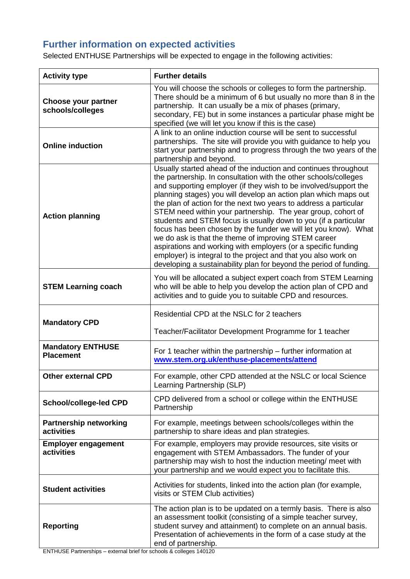## **Further information on expected activities**

Selected ENTHUSE Partnerships will be expected to engage in the following activities:

| <b>Activity type</b>                         | <b>Further details</b>                                                                                                                                                                                                                                                                                                                                                                                                                                                                                                                                                                                                                                                                                                                                                                                                 |
|----------------------------------------------|------------------------------------------------------------------------------------------------------------------------------------------------------------------------------------------------------------------------------------------------------------------------------------------------------------------------------------------------------------------------------------------------------------------------------------------------------------------------------------------------------------------------------------------------------------------------------------------------------------------------------------------------------------------------------------------------------------------------------------------------------------------------------------------------------------------------|
| Choose your partner<br>schools/colleges      | You will choose the schools or colleges to form the partnership.<br>There should be a minimum of 6 but usually no more than 8 in the<br>partnership. It can usually be a mix of phases (primary,<br>secondary, FE) but in some instances a particular phase might be<br>specified (we will let you know if this is the case)                                                                                                                                                                                                                                                                                                                                                                                                                                                                                           |
| <b>Online induction</b>                      | A link to an online induction course will be sent to successful<br>partnerships. The site will provide you with guidance to help you<br>start your partnership and to progress through the two years of the<br>partnership and beyond.                                                                                                                                                                                                                                                                                                                                                                                                                                                                                                                                                                                 |
| <b>Action planning</b>                       | Usually started ahead of the induction and continues throughout<br>the partnership. In consultation with the other schools/colleges<br>and supporting employer (if they wish to be involved/support the<br>planning stages) you will develop an action plan which maps out<br>the plan of action for the next two years to address a particular<br>STEM need within your partnership. The year group, cohort of<br>students and STEM focus is usually down to you (if a particular<br>focus has been chosen by the funder we will let you know). What<br>we do ask is that the theme of improving STEM career<br>aspirations and working with employers (or a specific funding<br>employer) is integral to the project and that you also work on<br>developing a sustainability plan for beyond the period of funding. |
| <b>STEM Learning coach</b>                   | You will be allocated a subject expert coach from STEM Learning<br>who will be able to help you develop the action plan of CPD and<br>activities and to guide you to suitable CPD and resources.                                                                                                                                                                                                                                                                                                                                                                                                                                                                                                                                                                                                                       |
| <b>Mandatory CPD</b>                         | Residential CPD at the NSLC for 2 teachers<br>Teacher/Facilitator Development Programme for 1 teacher                                                                                                                                                                                                                                                                                                                                                                                                                                                                                                                                                                                                                                                                                                                  |
| <b>Mandatory ENTHUSE</b><br><b>Placement</b> | For 1 teacher within the partnership – further information at<br>www.stem.org.uk/enthuse-placements/attend                                                                                                                                                                                                                                                                                                                                                                                                                                                                                                                                                                                                                                                                                                             |
| Other external CPD                           | For example, other CPD attended at the NSLC or local Science<br>Learning Partnership (SLP)                                                                                                                                                                                                                                                                                                                                                                                                                                                                                                                                                                                                                                                                                                                             |
| <b>School/college-led CPD</b>                | CPD delivered from a school or college within the ENTHUSE<br>Partnership                                                                                                                                                                                                                                                                                                                                                                                                                                                                                                                                                                                                                                                                                                                                               |
| <b>Partnership networking</b><br>activities  | For example, meetings between schools/colleges within the<br>partnership to share ideas and plan strategies.                                                                                                                                                                                                                                                                                                                                                                                                                                                                                                                                                                                                                                                                                                           |
| <b>Employer engagement</b><br>activities     | For example, employers may provide resources, site visits or<br>engagement with STEM Ambassadors. The funder of your<br>partnership may wish to host the induction meeting/ meet with<br>your partnership and we would expect you to facilitate this.                                                                                                                                                                                                                                                                                                                                                                                                                                                                                                                                                                  |
| <b>Student activities</b>                    | Activities for students, linked into the action plan (for example,<br>visits or STEM Club activities)                                                                                                                                                                                                                                                                                                                                                                                                                                                                                                                                                                                                                                                                                                                  |
| <b>Reporting</b>                             | The action plan is to be updated on a termly basis. There is also<br>an assessment toolkit (consisting of a simple teacher survey,<br>student survey and attainment) to complete on an annual basis.<br>Presentation of achievements in the form of a case study at the<br>end of partnership.                                                                                                                                                                                                                                                                                                                                                                                                                                                                                                                         |

ENTHUSE Partnerships – external brief for schools & colleges 140120